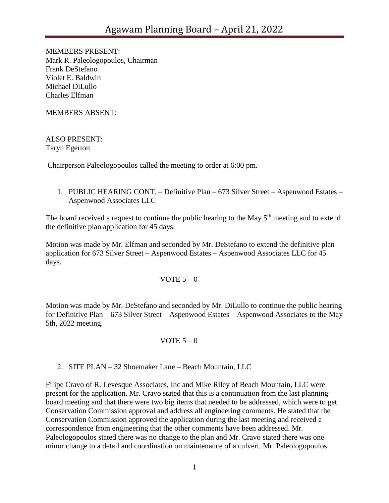MEMBERS PRESENT: Mark R. Paleologopoulos, Chairman Frank DeStefano Violet E. Baldwin Michael DiLullo Charles Elfman

MEMBERS ABSENT:

ALSO PRESENT: Taryn Egerton

Chairperson Paleologopoulos called the meeting to order at 6:00 pm.

1. PUBLIC HEARING CONT. – Definitive Plan – 673 Silver Street – Aspenwood Estates – Aspenwood Associates LLC

The board received a request to continue the public hearing to the May  $5<sup>th</sup>$  meeting and to extend the definitive plan application for 45 days.

Motion was made by Mr. Elfman and seconded by Mr. DeStefano to extend the definitive plan application for 673 Silver Street – Aspenwood Estates – Aspenwood Associates LLC for 45 days.

VOTE  $5 - 0$ 

Motion was made by Mr. DeStefano and seconded by Mr. DiLullo to continue the public hearing for Definitive Plan – 673 Silver Street – Aspenwood Estates – Aspenwood Associates to the May 5th, 2022 meeting.

## VOTE  $5-0$

2. SITE PLAN – 32 Shoemaker Lane – Beach Mountain, LLC

Filipe Cravo of R. Levesque Associates, Inc and Mike Riley of Beach Mountain, LLC were present for the application. Mr. Cravo stated that this is a continuation from the last planning board meeting and that there were two big items that needed to be addressed, which were to get Conservation Commission approval and address all engineering comments. He stated that the Conservation Commission approved the application during the last meeting and received a correspondence from engineering that the other comments have been addressed. Mr. Paleologopoulos stated there was no change to the plan and Mr. Cravo stated there was one minor change to a detail and coordination on maintenance of a culvert. Mr. Paleologopoulos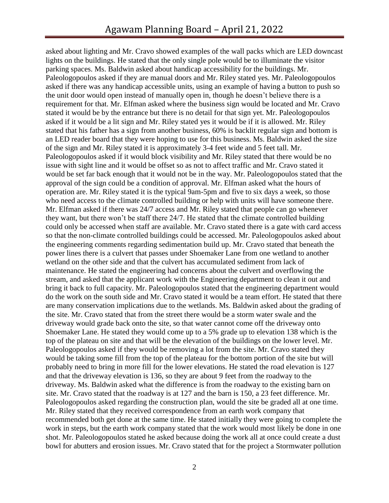asked about lighting and Mr. Cravo showed examples of the wall packs which are LED downcast lights on the buildings. He stated that the only single pole would be to illuminate the visitor parking spaces. Ms. Baldwin asked about handicap accessibility for the buildings. Mr. Paleologopoulos asked if they are manual doors and Mr. Riley stated yes. Mr. Paleologopoulos asked if there was any handicap accessible units, using an example of having a button to push so the unit door would open instead of manually open in, though he doesn't believe there is a requirement for that. Mr. Elfman asked where the business sign would be located and Mr. Cravo stated it would be by the entrance but there is no detail for that sign yet. Mr. Paleologopoulos asked if it would be a lit sign and Mr. Riley stated yes it would be if it is allowed. Mr. Riley stated that his father has a sign from another business, 60% is backlit regular sign and bottom is an LED reader board that they were hoping to use for this business. Ms. Baldwin asked the size of the sign and Mr. Riley stated it is approximately 3-4 feet wide and 5 feet tall. Mr. Paleologopoulos asked if it would block visibility and Mr. Riley stated that there would be no issue with sight line and it would be offset so as not to affect traffic and Mr. Cravo stated it would be set far back enough that it would not be in the way. Mr. Paleologopoulos stated that the approval of the sign could be a condition of approval. Mr. Elfman asked what the hours of operation are. Mr. Riley stated it is the typical 9am-5pm and five to six days a week, so those who need access to the climate controlled building or help with units will have someone there. Mr. Elfman asked if there was 24/7 access and Mr. Riley stated that people can go whenever they want, but there won't be staff there 24/7. He stated that the climate controlled building could only be accessed when staff are available. Mr. Cravo stated there is a gate with card access so that the non-climate controlled buildings could be accessed. Mr. Paleologopoulos asked about the engineering comments regarding sedimentation build up. Mr. Cravo stated that beneath the power lines there is a culvert that passes under Shoemaker Lane from one wetland to another wetland on the other side and that the culvert has accumulated sediment from lack of maintenance. He stated the engineering had concerns about the culvert and overflowing the stream, and asked that the applicant work with the Engineering department to clean it out and bring it back to full capacity. Mr. Paleologopoulos stated that the engineering department would do the work on the south side and Mr. Cravo stated it would be a team effort. He stated that there are many conservation implications due to the wetlands. Ms. Baldwin asked about the grading of the site. Mr. Cravo stated that from the street there would be a storm water swale and the driveway would grade back onto the site, so that water cannot come off the driveway onto Shoemaker Lane. He stated they would come up to a 5% grade up to elevation 138 which is the top of the plateau on site and that will be the elevation of the buildings on the lower level. Mr. Paleologopoulos asked if they would be removing a lot from the site. Mr. Cravo stated they would be taking some fill from the top of the plateau for the bottom portion of the site but will probably need to bring in more fill for the lower elevations. He stated the road elevation is 127 and that the driveway elevation is 136, so they are about 9 feet from the roadway to the driveway. Ms. Baldwin asked what the difference is from the roadway to the existing barn on site. Mr. Cravo stated that the roadway is at 127 and the barn is 150, a 23 feet difference. Mr. Paleologopoulos asked regarding the construction plan, would the site be graded all at one time. Mr. Riley stated that they received correspondence from an earth work company that recommended both get done at the same time. He stated initially they were going to complete the work in steps, but the earth work company stated that the work would most likely be done in one shot. Mr. Paleologopoulos stated he asked because doing the work all at once could create a dust bowl for abutters and erosion issues. Mr. Cravo stated that for the project a Stormwater pollution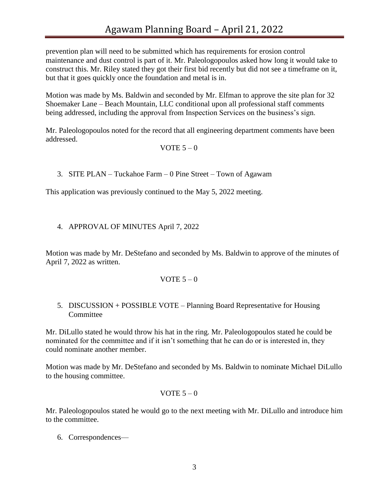prevention plan will need to be submitted which has requirements for erosion control maintenance and dust control is part of it. Mr. Paleologopoulos asked how long it would take to construct this. Mr. Riley stated they got their first bid recently but did not see a timeframe on it, but that it goes quickly once the foundation and metal is in.

Motion was made by Ms. Baldwin and seconded by Mr. Elfman to approve the site plan for 32 Shoemaker Lane – Beach Mountain, LLC conditional upon all professional staff comments being addressed, including the approval from Inspection Services on the business's sign.

Mr. Paleologopoulos noted for the record that all engineering department comments have been addressed.

### VOTE  $5-0$

3. SITE PLAN – Tuckahoe Farm – 0 Pine Street – Town of Agawam

This application was previously continued to the May 5, 2022 meeting.

# 4. APPROVAL OF MINUTES April 7, 2022

Motion was made by Mr. DeStefano and seconded by Ms. Baldwin to approve of the minutes of April 7, 2022 as written.

## VOTE  $5-0$

## 5. DISCUSSION + POSSIBLE VOTE – Planning Board Representative for Housing **Committee**

Mr. DiLullo stated he would throw his hat in the ring. Mr. Paleologopoulos stated he could be nominated for the committee and if it isn't something that he can do or is interested in, they could nominate another member.

Motion was made by Mr. DeStefano and seconded by Ms. Baldwin to nominate Michael DiLullo to the housing committee.

## VOTE  $5-0$

Mr. Paleologopoulos stated he would go to the next meeting with Mr. DiLullo and introduce him to the committee.

6. Correspondences—